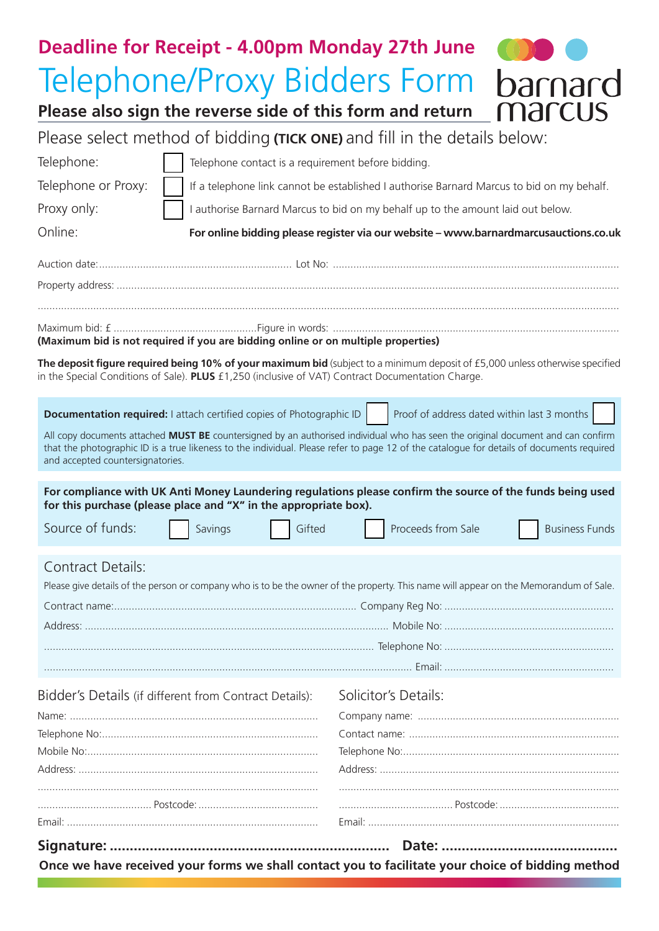| <b>Deadline for Receipt - 4.00pm Monday 27th June</b>                                                                                                                                                                                                                                                             |                                                                                           |
|-------------------------------------------------------------------------------------------------------------------------------------------------------------------------------------------------------------------------------------------------------------------------------------------------------------------|-------------------------------------------------------------------------------------------|
| <b>Telephone/Proxy Bidders Form</b>                                                                                                                                                                                                                                                                               | barnard                                                                                   |
| marcus<br>Please also sign the reverse side of this form and return                                                                                                                                                                                                                                               |                                                                                           |
| Please select method of bidding (TICK ONE) and fill in the details below:                                                                                                                                                                                                                                         |                                                                                           |
| Telephone:<br>Telephone contact is a requirement before bidding.                                                                                                                                                                                                                                                  |                                                                                           |
| Telephone or Proxy:                                                                                                                                                                                                                                                                                               | If a telephone link cannot be established I authorise Barnard Marcus to bid on my behalf. |
| Proxy only:                                                                                                                                                                                                                                                                                                       | I authorise Barnard Marcus to bid on my behalf up to the amount laid out below.           |
| Online:<br>For online bidding please register via our website - www.barnardmarcusauctions.co.uk                                                                                                                                                                                                                   |                                                                                           |
|                                                                                                                                                                                                                                                                                                                   |                                                                                           |
|                                                                                                                                                                                                                                                                                                                   |                                                                                           |
| (Maximum bid is not required if you are bidding online or on multiple properties)                                                                                                                                                                                                                                 |                                                                                           |
| The deposit figure required being 10% of your maximum bid (subject to a minimum deposit of £5,000 unless otherwise specified<br>in the Special Conditions of Sale). PLUS £1,250 (inclusive of VAT) Contract Documentation Charge.                                                                                 |                                                                                           |
| Documentation required: I attach certified copies of Photographic ID                                                                                                                                                                                                                                              | Proof of address dated within last 3 months                                               |
| All copy documents attached MUST BE countersigned by an authorised individual who has seen the original document and can confirm<br>that the photographic ID is a true likeness to the individual. Please refer to page 12 of the catalogue for details of documents required<br>and accepted countersignatories. |                                                                                           |
| For compliance with UK Anti Money Laundering regulations please confirm the source of the funds being used<br>for this purchase (please place and "X" in the appropriate box).                                                                                                                                    |                                                                                           |
| Source of funds:<br>Gifted<br>Savings                                                                                                                                                                                                                                                                             | Proceeds from Sale<br><b>Business Funds</b>                                               |
| <b>Contract Details:</b><br>Please give details of the person or company who is to be the owner of the property. This name will appear on the Memorandum of Sale.                                                                                                                                                 |                                                                                           |
|                                                                                                                                                                                                                                                                                                                   |                                                                                           |
|                                                                                                                                                                                                                                                                                                                   |                                                                                           |
|                                                                                                                                                                                                                                                                                                                   |                                                                                           |
|                                                                                                                                                                                                                                                                                                                   |                                                                                           |
| Bidder's Details (if different from Contract Details):                                                                                                                                                                                                                                                            | Solicitor's Details:                                                                      |
|                                                                                                                                                                                                                                                                                                                   |                                                                                           |
|                                                                                                                                                                                                                                                                                                                   |                                                                                           |
|                                                                                                                                                                                                                                                                                                                   |                                                                                           |
|                                                                                                                                                                                                                                                                                                                   |                                                                                           |
|                                                                                                                                                                                                                                                                                                                   |                                                                                           |
|                                                                                                                                                                                                                                                                                                                   |                                                                                           |
| Once we have received your forms we shall contact you to facilitate your choice of bidding method                                                                                                                                                                                                                 |                                                                                           |
|                                                                                                                                                                                                                                                                                                                   |                                                                                           |